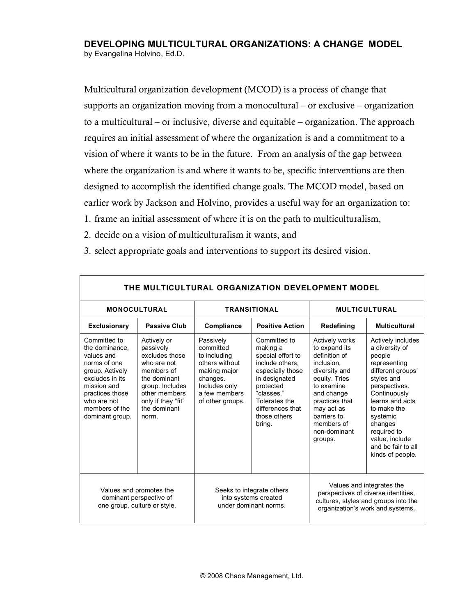# **DEVELOPING MULTICULTURAL ORGANIZATIONS: A CHANGE MODEL** by Evangelina Holvino, Ed.D.

Multicultural organization development (MCOD) is a process of change that supports an organization moving from a monocultural – or exclusive – organization to a multicultural – or inclusive, diverse and equitable – organization. The approach requires an initial assessment of where the organization is and a commitment to a vision of where it wants to be in the future. From an analysis of the gap between where the organization is and where it wants to be, specific interventions are then designed to accomplish the identified change goals. The MCOD model, based on earlier work by Jackson and Holvino, provides a useful way for an organization to:

- 1. frame an initial assessment of where it is on the path to multiculturalism,
- 2. decide on a vision of multiculturalism it wants, and

| THE MULTICULTURAL ORGANIZATION DEVELOPMENT MODEL                                                                                                                                         |                                                                                                                                                                            |                                                                                                                                            |                                                                                                                                                                                                 |                                                                                                                                                                                                                             |                                                                                                                                                                                                                                                                       |  |  |  |
|------------------------------------------------------------------------------------------------------------------------------------------------------------------------------------------|----------------------------------------------------------------------------------------------------------------------------------------------------------------------------|--------------------------------------------------------------------------------------------------------------------------------------------|-------------------------------------------------------------------------------------------------------------------------------------------------------------------------------------------------|-----------------------------------------------------------------------------------------------------------------------------------------------------------------------------------------------------------------------------|-----------------------------------------------------------------------------------------------------------------------------------------------------------------------------------------------------------------------------------------------------------------------|--|--|--|
| <b>MONOCULTURAL</b>                                                                                                                                                                      |                                                                                                                                                                            | <b>TRANSITIONAL</b>                                                                                                                        |                                                                                                                                                                                                 | <b>MULTICULTURAL</b>                                                                                                                                                                                                        |                                                                                                                                                                                                                                                                       |  |  |  |
| <b>Exclusionary</b>                                                                                                                                                                      | <b>Passive Club</b>                                                                                                                                                        | Compliance                                                                                                                                 | <b>Positive Action</b>                                                                                                                                                                          | Redefining                                                                                                                                                                                                                  | <b>Multicultural</b>                                                                                                                                                                                                                                                  |  |  |  |
| Committed to<br>the dominance.<br>values and<br>norms of one<br>group. Actively<br>excludes in its<br>mission and<br>practices those<br>who are not<br>members of the<br>dominant group. | Actively or<br>passively<br>excludes those<br>who are not<br>members of<br>the dominant<br>group. Includes<br>other members<br>only if they "fit"<br>the dominant<br>norm. | Passively<br>committed<br>to including<br>others without<br>making major<br>changes.<br>Includes only<br>a few members<br>of other groups. | Committed to<br>making a<br>special effort to<br>include others.<br>especially those<br>in designated<br>protected<br>"classes."<br>Tolerates the<br>differences that<br>those others<br>bring. | <b>Actively works</b><br>to expand its<br>definition of<br>inclusion.<br>diversity and<br>equity. Tries<br>to examine<br>and change<br>practices that<br>may act as<br>barriers to<br>members of<br>non-dominant<br>groups. | Actively includes<br>a diversity of<br>people<br>representing<br>different groups'<br>styles and<br>perspectives.<br>Continuously<br>learns and acts<br>to make the<br>systemic<br>changes<br>required to<br>value, include<br>and be fair to all<br>kinds of people. |  |  |  |
| Values and promotes the<br>dominant perspective of<br>one group, culture or style.                                                                                                       |                                                                                                                                                                            | Seeks to integrate others<br>into systems created<br>under dominant norms.                                                                 |                                                                                                                                                                                                 | Values and integrates the<br>perspectives of diverse identities,<br>cultures, styles and groups into the<br>organization's work and systems.                                                                                |                                                                                                                                                                                                                                                                       |  |  |  |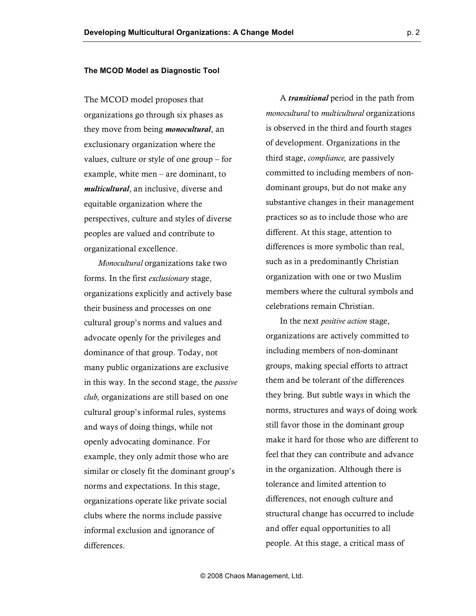#### **The MCOD Model as Diagnostic Tool**

The MCOD model proposes that organizations go through six phases as they move from being *monocultural*, an exclusionary organization where the values, culture or style of one group – for example, white men – are dominant, to *multicultural*, an inclusive, diverse and equitable organization where the perspectives, culture and styles of diverse peoples are valued and contribute to organizational excellence.

*Monocultural* organizations take two forms. In the first *exclusionary* stage, organizations explicitly and actively base their business and processes on one cultural group's norms and values and advocate openly for the privileges and dominance of that group. Today, not many public organizations are exclusive in this way. In the second stage, the *passive club,* organizations are still based on one cultural group's informal rules, systems and ways of doing things, while not openly advocating dominance. For example, they only admit those who are similar or closely fit the dominant group's norms and expectations. In this stage, organizations operate like private social clubs where the norms include passive informal exclusion and ignorance of differences.

A *transitional* period in the path from *monocultural* to *multicultural* organizations is observed in the third and fourth stages of development. Organizations in the third stage, *compliance,* are passively committed to including members of nondominant groups, but do not make any substantive changes in their management practices so as to include those who are different. At this stage, attention to differences is more symbolic than real, such as in a predominantly Christian organization with one or two Muslim members where the cultural symbols and celebrations remain Christian.

In the next *positive action* stage, organizations are actively committed to including members of non-dominant groups, making special efforts to attract them and be tolerant of the differences they bring. But subtle ways in which the norms, structures and ways of doing work still favor those in the dominant group make it hard for those who are different to feel that they can contribute and advance in the organization. Although there is tolerance and limited attention to differences, not enough culture and structural change has occurred to include and offer equal opportunities to all people. At this stage, a critical mass of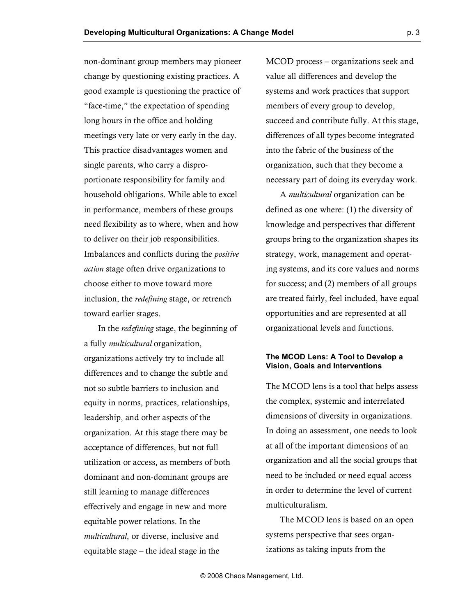non-dominant group members may pioneer change by questioning existing practices. A good example is questioning the practice of "face-time," the expectation of spending long hours in the office and holding meetings very late or very early in the day. This practice disadvantages women and single parents, who carry a disproportionate responsibility for family and household obligations. While able to excel in performance, members of these groups need flexibility as to where, when and how to deliver on their job responsibilities. Imbalances and conflicts during the *positive action* stage often drive organizations to choose either to move toward more inclusion, the *redefining* stage, or retrench toward earlier stages.

In the *redefining* stage, the beginning of a fully *multicultural* organization, organizations actively try to include all differences and to change the subtle and not so subtle barriers to inclusion and equity in norms, practices, relationships, leadership, and other aspects of the organization. At this stage there may be acceptance of differences, but not full utilization or access, as members of both dominant and non-dominant groups are still learning to manage differences effectively and engage in new and more equitable power relations. In the *multicultural*, or diverse, inclusive and equitable stage – the ideal stage in the

MCOD process – organizations seek and value all differences and develop the systems and work practices that support members of every group to develop, succeed and contribute fully. At this stage, differences of all types become integrated into the fabric of the business of the organization, such that they become a necessary part of doing its everyday work.

A *multicultural* organization can be defined as one where: (1) the diversity of knowledge and perspectives that different groups bring to the organization shapes its strategy, work, management and operating systems, and its core values and norms for success; and (2) members of all groups are treated fairly, feel included, have equal opportunities and are represented at all organizational levels and functions.

## **The MCOD Lens: A Tool to Develop a Vision, Goals and Interventions**

The MCOD lens is a tool that helps assess the complex, systemic and interrelated dimensions of diversity in organizations. In doing an assessment, one needs to look at all of the important dimensions of an organization and all the social groups that need to be included or need equal access in order to determine the level of current multiculturalism.

The MCOD lens is based on an open systems perspective that sees organizations as taking inputs from the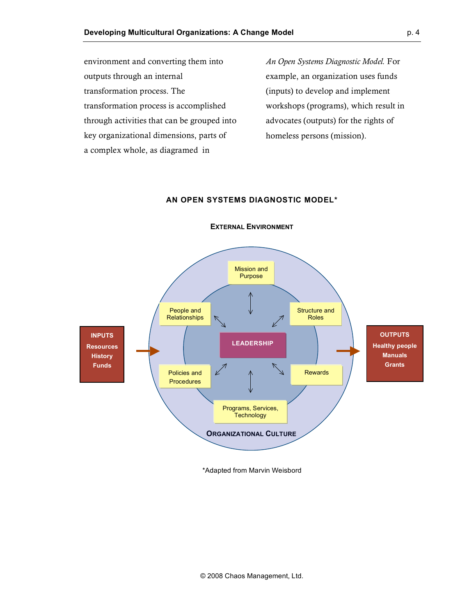environment and converting them into outputs through an internal transformation process. The transformation process is accomplished through activities that can be grouped into key organizational dimensions, parts of a complex whole, as diagramed in

*An Open Systems Diagnostic Model.* For example, an organization uses funds (inputs) to develop and implement workshops (programs), which result in advocates (outputs) for the rights of homeless persons (mission).

### **AN OPEN SYSTEMS DIAGNOSTIC MODEL\***



**EXTERNAL ENVIRONMENT**

\*Adapted from Marvin Weisbord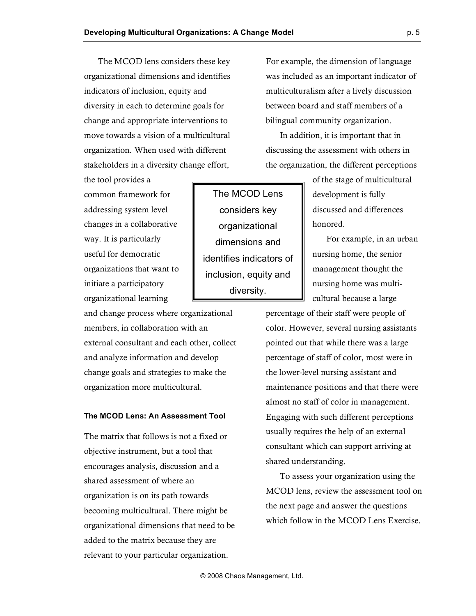The MCOD lens considers these key organizational dimensions and identifies indicators of inclusion, equity and diversity in each to determine goals for change and appropriate interventions to move towards a vision of a multicultural organization. When used with different stakeholders in a diversity change effort,

the tool provides a common framework for addressing system level changes in a collaborative way. It is particularly useful for democratic organizations that want to initiate a participatory organizational learning

and change process where organizational members, in collaboration with an external consultant and each other, collect and analyze information and develop change goals and strategies to make the organization more multicultural.

### **The MCOD Lens: An Assessment Tool**

The matrix that follows is not a fixed or objective instrument, but a tool that encourages analysis, discussion and a shared assessment of where an organization is on its path towards becoming multicultural. There might be organizational dimensions that need to be added to the matrix because they are relevant to your particular organization.

For example, the dimension of language was included as an important indicator of multiculturalism after a lively discussion between board and staff members of a bilingual community organization.

In addition, it is important that in discussing the assessment with others in the organization, the different perceptions

> of the stage of multicultural development is fully discussed and differences honored.

For example, in an urban nursing home, the senior management thought the nursing home was multicultural because a large

percentage of their staff were people of color. However, several nursing assistants pointed out that while there was a large percentage of staff of color, most were in the lower-level nursing assistant and maintenance positions and that there were almost no staff of color in management. Engaging with such different perceptions usually requires the help of an external consultant which can support arriving at shared understanding.

To assess your organization using the MCOD lens, review the assessment tool on the next page and answer the questions which follow in the MCOD Lens Exercise.

The MCOD Lens considers key organizational dimensions and identifies indicators of inclusion, equity and diversity.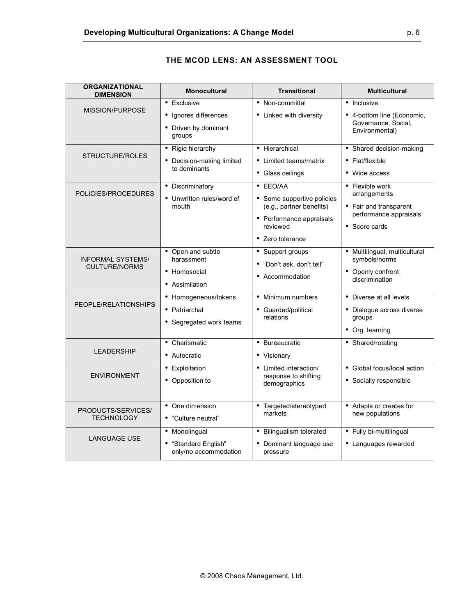| <b>ORGANIZATIONAL</b><br><b>DIMENSION</b>        | <b>Monocultural</b>                                                    | <b>Transitional</b>                                                                                                            | <b>Multicultural</b>                                                                                 |
|--------------------------------------------------|------------------------------------------------------------------------|--------------------------------------------------------------------------------------------------------------------------------|------------------------------------------------------------------------------------------------------|
| MISSION/PURPOSE                                  | • Exclusive<br>• Ignores differences<br>• Driven by dominant<br>groups | • Non-committal<br>• Linked with diversity                                                                                     | • Inclusive<br>• 4-bottom line (Economic,<br>Governance, Social,<br>Environmental)                   |
| STRUCTURE/ROLES                                  | • Rigid hierarchy<br>• Decision-making limited<br>to dominants         | • Hierarchical<br>• Limited teams/matrix<br>• Glass ceilings                                                                   | • Shared decision-making<br>• Flat/flexible<br>• Wide access                                         |
| POLICIES/PROCEDURES                              | • Discriminatory<br>• Unwritten rules/word of<br>mouth                 | • EEO/AA<br>• Some supportive policies<br>(e.g., partner benefits)<br>• Performance appraisals<br>reviewed<br>• Zero tolerance | • Flexible work<br>arrangements<br>• Fair and transparent<br>performance appraisals<br>• Score cards |
| <b>INFORMAL SYSTEMS/</b><br><b>CULTURE/NORMS</b> | • Open and subtle<br>harassment<br>• Homosocial<br>• Assimilation      | • Support groups<br>• "Don't ask, don't tell"<br>• Accommodation                                                               | · Multilingual, multicultural<br>symbols/norms<br>• Openly confront<br>discrimination                |
| PEOPLE/RELATIONSHIPS                             | • Homogeneous/tokens<br>• Patriarchal<br>• Segregated work teams       | • Minimum numbers<br>• Guarded/political<br>relations                                                                          | • Diverse at all levels<br>• Dialogue across diverse<br>groups<br>• Org. learning                    |
| <b>LEADERSHIP</b>                                | • Charismatic<br>• Autocratic                                          | • Bureaucratic<br>• Visionary                                                                                                  | • Shared/rotating                                                                                    |
| <b>ENVIRONMENT</b>                               | • Exploitation<br>• Opposition to                                      | • Limited interaction/<br>response to shifting<br>demographics                                                                 | • Global focus/local action<br>• Socially responsible                                                |
| PRODUCTS/SERVICES/<br><b>TECHNOLOGY</b>          | • One dimension<br>• "Culture neutral"                                 | • Targeted/stereotyped<br>markets                                                                                              | • Adapts or creates for<br>new populations                                                           |
| <b>LANGUAGE USE</b>                              | • Monolingual<br>• "Standard English"<br>only/no accommodation         | • Bilingualism tolerated<br>• Dominant language use<br>pressure                                                                | • Fully bi-multilingual<br>• Languages rewarded                                                      |

# **THE MCOD LENS: AN ASSESSMENT TOOL**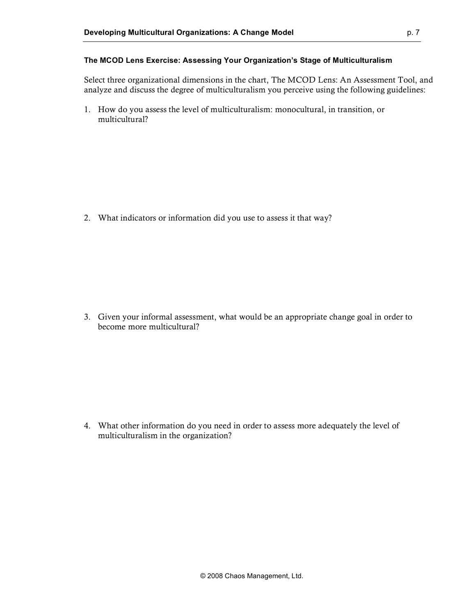### **The MCOD Lens Exercise: Assessing Your Organization's Stage of Multiculturalism**

Select three organizational dimensions in the chart, The MCOD Lens: An Assessment Tool, and analyze and discuss the degree of multiculturalism you perceive using the following guidelines:

1. How do you assess the level of multiculturalism: monocultural, in transition, or multicultural?

2. What indicators or information did you use to assess it that way?

3. Given your informal assessment, what would be an appropriate change goal in order to become more multicultural?

4. What other information do you need in order to assess more adequately the level of multiculturalism in the organization?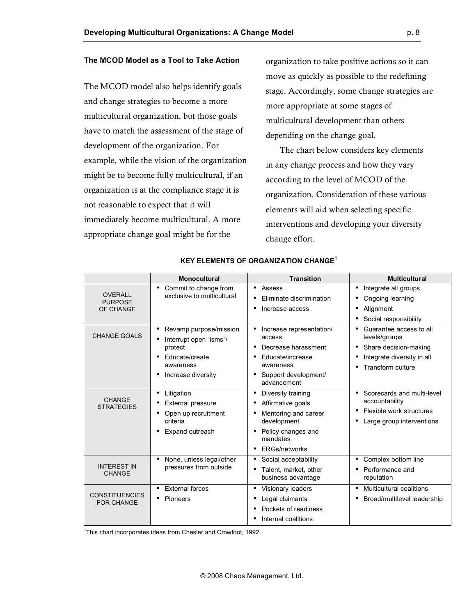# **The MCOD Model as a Tool to Take Action**

The MCOD model also helps identify goals and change strategies to become a more multicultural organization, but those goals have to match the assessment of the stage of development of the organization. For example, while the vision of the organization might be to become fully multicultural, if an organization is at the compliance stage it is not reasonable to expect that it will immediately become multicultural. A more appropriate change goal might be for the

organization to take positive actions so it can move as quickly as possible to the redefining stage. Accordingly, some change strategies are more appropriate at some stages of multicultural development than others depending on the change goal.

The chart below considers key elements in any change process and how they vary according to the level of MCOD of the organization. Consideration of these various elements will aid when selecting specific interventions and developing your diversity change effort.

|                                               | <b>Monocultural</b>                                                                                                        | <b>Transition</b>                                                                                                                             | <b>Multicultural</b>                                                                                                           |
|-----------------------------------------------|----------------------------------------------------------------------------------------------------------------------------|-----------------------------------------------------------------------------------------------------------------------------------------------|--------------------------------------------------------------------------------------------------------------------------------|
| <b>OVERALL</b><br><b>PURPOSE</b><br>OF CHANGE | Commit to change from<br>٠<br>exclusive to multicultural                                                                   | Assess<br>Eliminate discrimination<br>Increase access                                                                                         | Integrate all groups<br>٠<br>Ongoing learning<br>Alignment<br>$\bullet$<br>Social responsibility                               |
| <b>CHANGE GOALS</b>                           | Revamp purpose/mission<br>٠<br>Interrupt open "isms"/<br>protect<br>Educate/create<br>٠<br>awareness<br>Increase diversity | Increase representation/<br>access<br>Decrease harassment<br>Educate/increase<br>awareness<br>Support development/<br>advancement             | Guarantee access to all<br>٠<br>levels/groups<br>Share decision-making<br>Integrate diversity in all<br>Transform culture<br>٠ |
| <b>CHANGE</b><br><b>STRATEGIES</b>            | Litigation<br>٠<br><b>External pressure</b><br>Open up recruitment<br>criteria<br>Expand outreach                          | Diversity training<br>Affirmative goals<br>Mentoring and career<br>development<br>Policy changes and<br>mandates<br><b>ERGs/networks</b><br>٠ | Scorecards and multi-level<br>$\bullet$<br>accountability<br>Flexible work structures<br>Large group interventions             |
| <b>INTEREST IN</b><br><b>CHANGE</b>           | None, unless legal/other<br>pressures from outside                                                                         | Social acceptability<br>٠<br>Talent, market, other<br>business advantage                                                                      | Complex bottom line<br>Performance and<br>reputation                                                                           |
| <b>CONSTITUENCIES</b><br><b>FOR CHANGE</b>    | <b>External forces</b><br>$\bullet$<br>Pioneers<br>٠                                                                       | • Visionary leaders<br>Legal claimants<br>Pockets of readiness<br>Internal coalitions                                                         | <b>Multicultural coalitions</b><br>$\bullet$<br>Broad/multilevel leadership                                                    |

#### **KEY ELEMENTS OF ORGANIZATION CHANGE<sup>1</sup>**

<sup>1</sup>This chart incorporates ideas from Chesler and Crowfoot, 1992.